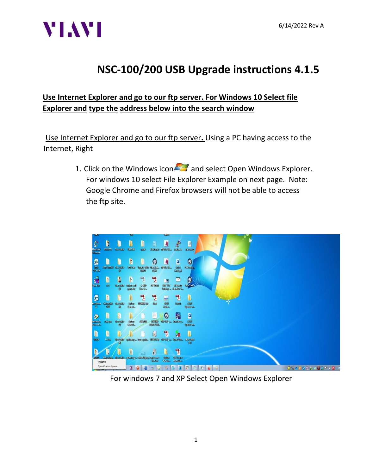

#### **Use Internet Explorer and go to our ftp server. For Windows 10 Select file Explorer and type the address below into the search window**

Use Internet Explorer and go to our ftp server**.** Using a PC having access to the Internet, Right

> 1. Click on the Windows icon  $\sim$  and select Open Windows Explorer. For windows 10 select File Explorer Example on next page. Note: Google Chrome and Firefox browsers will not be able to access the ftp site.



For windows 7 and XP Select Open Windows Explorer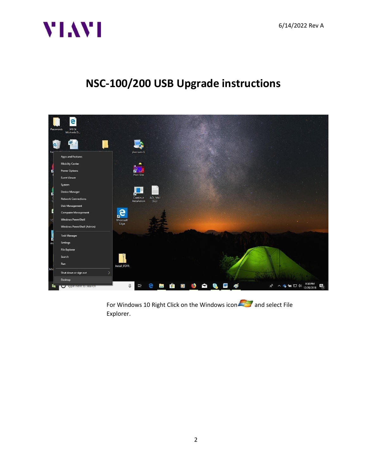



For Windows 10 Right Click on the Windows icon **and select File** Explorer.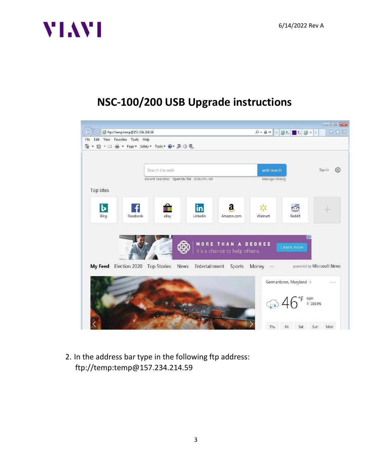



2. In the address bar type in the following ftp address: ftp://temp:temp@157.234.214.59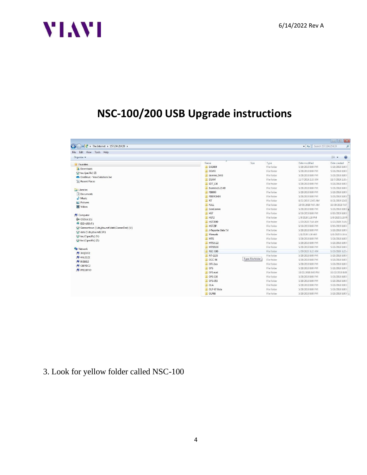

| $\mathcal{L}$<br>$\left($<br>The Internet + 157.234.214.59 +<br>$-4$<br>File Edit View Tools Help |                     |                                  |                    |                    |
|---------------------------------------------------------------------------------------------------|---------------------|----------------------------------|--------------------|--------------------|
|                                                                                                   |                     |                                  |                    |                    |
| Favorites                                                                                         | Name                | Size<br>Type                     | Date modified      | Date created       |
| <b>n</b> Downloads                                                                                | DA3400              | File folder                      | 5/28/2018 8:00 PM  | 5/28/2018 8:00 P   |
| $\rightarrow$ tac (pacific) (Z)                                                                   | <b>DEMO</b>         | File folder                      | 5/28/2018 8:00 PM  | 5/28/2018 8:00 P   |
| OneDrive - Viavi Solutions Inc.                                                                   | domino_NAS          | File folder                      | 5/28/2018 8:00 PM  | 5/28/2018 8:00 1   |
| Recent Places                                                                                     | <b>DSAM</b>         | File folder                      | 11/7/2019 2:33 AM  | 11/7/2019 2:33 /   |
|                                                                                                   | <b>EDT 130</b>      | File folder                      | 5/28/2018 8:00 PM  | 5/28/2018 8:00 P   |
| Libraries                                                                                         | Examine3.2.5.49     | File folder                      | 5/28/2018 8:00 PM  | 5/28/2018 8:00 1   |
| Documents                                                                                         | FB8000              | File folder                      | 5/28/2018 8:00 PM  | 5/28/2018 8:00 P   |
| Music                                                                                             | FIBERCHEK           | File folder                      | 5/28/2018 8:00 PM  | 5/28/2018 8:00 F   |
| Pictures                                                                                          | <b>A</b> FIT        | File folder                      | 8/21/2019 12:05 AM | 8/21/2019 12:05    |
| Videos                                                                                            | <b>FULL</b>         | File folder                      | 10/30/2019 7:07 AM | 10/30/2019 7:07    |
|                                                                                                   | GenComm             | File folder                      | 5/28/2018 8:00 PM  | 5/28/2018 8:00 1 = |
| Computer                                                                                          | <b>HST</b>          | File folder                      | 6/16/2019 8:00 PM  | 6/16/2019 8:00     |
| C:)                                                                                               | HST2                | File folder                      | 1/9/2020 1:18 PM   | 1/9/2020 1:18 PI   |
| ESD-USB (F:)                                                                                      | HST3000             | File folder                      | 1/23/2020 7:18 AM  | 1/23/2020 7:18 /   |
| Germantown (\\ds.jdsu.net\data\CommTest) (V:)                                                     | HSTZIP              | File folder                      | 6/16/2019 8:00 PM  | 6/16/2019 8:00 F   |
| data (\\ds.jdsu.net) (W:)                                                                         | J-Reporter Beta 7.4 | File folder                      | 5/28/2018 8:00 PM  | 5/28/2018 8:00 P   |
| tac (\\pacific) (Y:)                                                                              | Manuals             | File folder                      | 1/8/2020 1:16 AM   | 1/8/2020 1:16 A    |
|                                                                                                   | MTS                 | File folder                      | 5/28/2018 8:00 PM  | 5/28/2018 8:00 P   |
| tac (\\pacific) (Z:)                                                                              | MTS 6.22            | File folder                      | 5/28/2018 8:00 PM  | 5/28/2018 8:00 F   |
|                                                                                                   | MTS5100             | File folder                      | 5/28/2018 8:00 PM  | 5/28/2018 8:00 1   |
| <b>EN</b> Network<br>3XQ3VF2                                                                      | <b>NSC-100</b>      | File folder                      | 1/29/2020 3:22 AM  | 1/29/2020 3:22 /   |
| $N = 4NLZ1Z2$                                                                                     | NT-1155             | File folder                      | 5/28/2018 8:00 PM  | 5/28/2018 8:00 F   |
|                                                                                                   | OCC-56              | Type: File folder<br>File folder | 5/28/2018 8:00 PM  | 5/28/2018 8:00 F   |
| $N = 8V18J12$                                                                                     | $OFI-2xox$          | File folder                      | 5/28/2018 8:00 PM  | 5/28/2018 8:00 1   |
| L C8FPDC2                                                                                         | <b>D</b> OFS        | File folder                      | 5/28/2018 8:00 PM  | 5/28/2018 8:00 P   |
| PF11BPYD                                                                                          | OFS eval            | File folder                      | 10/22/2018 8:00 PM | 10/22/2018 8:00    |
|                                                                                                   | <b>D</b> OFS-110    | File folder                      | 5/28/2018 8:00 PM  | 5/28/2018 8:00 P   |
|                                                                                                   | OFS-355             | File folder                      | 5/28/2018 8:00 PM  | 5/28/2018 8:00 1   |
|                                                                                                   | <b>OLA</b>          | File folder                      | 5/28/2018 8:00 PM  | 5/28/2018 8:00 F   |
|                                                                                                   | OLP-87 Beta         | File folder                      | 5/28/2018 8:00 PM  | 5/28/2018 8:00 1   |
|                                                                                                   | OLP88               | File folder                      | 5/28/2018 8:00 PM  | 5/28/20188:001     |

### 3. Look for yellow folder called NSC-100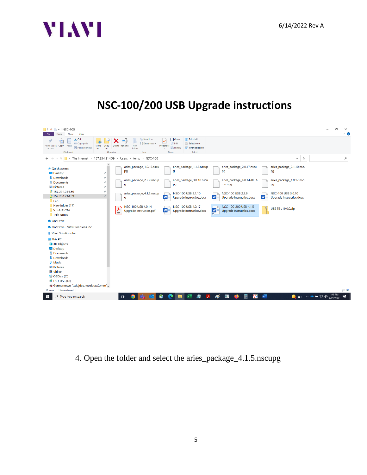



4. Open the folder and select the aries\_package\_4.1.5.nscupg